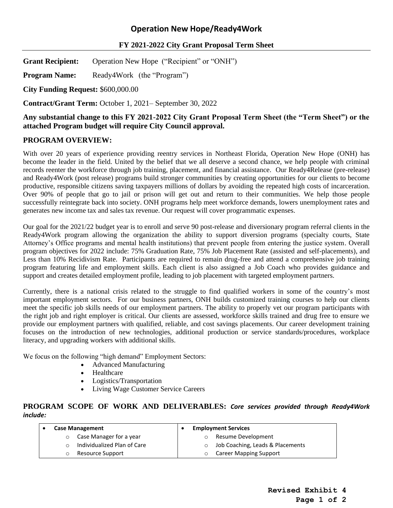# **Operation New Hope/Ready4Work**

### **FY 2021-2022 City Grant Proposal Term Sheet**

**Grant Recipient:** Operation New Hope ("Recipient" or "ONH")

**Program Name:** Ready4Work (the "Program")

**City Funding Request:** \$600,000.00

**Contract/Grant Term:** October 1, 2021– September 30, 2022

### **Any substantial change to this FY 2021-2022 City Grant Proposal Term Sheet (the "Term Sheet") or the attached Program budget will require City Council approval.**

#### **PROGRAM OVERVIEW:**

With over 20 years of experience providing reentry services in Northeast Florida, Operation New Hope (ONH) has become the leader in the field. United by the belief that we all deserve a second chance, we help people with criminal records reenter the workforce through job training, placement, and financial assistance. Our Ready4Release (pre-release) and Ready4Work (post release) programs build stronger communities by creating opportunities for our clients to become productive, responsible citizens saving taxpayers millions of dollars by avoiding the repeated high costs of incarceration. Over 90% of people that go to jail or prison will get out and return to their communities. We help those people successfully reintegrate back into society. ONH programs help meet workforce demands, lowers unemployment rates and generates new income tax and sales tax revenue. Our request will cover programmatic expenses.

Our goal for the 2021/22 budget year is to enroll and serve 90 post-release and diversionary program referral clients in the Ready4Work program allowing the organization the ability to support diversion programs (specialty courts, State Attorney's Office programs and mental health institutions) that prevent people from entering the justice system. Overall program objectives for 2022 include: 75% Graduation Rate, 75% Job Placement Rate (assisted and self-placements), and Less than 10% Recidivism Rate. Participants are required to remain drug-free and attend a comprehensive job training program featuring life and employment skills. Each client is also assigned a Job Coach who provides guidance and support and creates detailed employment profile, leading to job placement with targeted employment partners.

Currently, there is a national crisis related to the struggle to find qualified workers in some of the country's most important employment sectors. For our business partners, ONH builds customized training courses to help our clients meet the specific job skills needs of our employment partners. The ability to properly vet our program participants with the right job and right employer is critical. Our clients are assessed, workforce skills trained and drug free to ensure we provide our employment partners with qualified, reliable, and cost savings placements. Our career development training focuses on the introduction of new technologies, additional production or service standards/procedures, workplace literacy, and upgrading workers with additional skills.

We focus on the following "high demand" Employment Sectors:

- Advanced Manufacturing
- Healthcare
- Logistics/Transportation
- Living Wage Customer Service Careers

### **PROGRAM SCOPE OF WORK AND DELIVERABLES:** *Core services provided through Ready4Work include:*

| <b>Case Management</b>      | <b>Employment Services</b>       |
|-----------------------------|----------------------------------|
| Case Manager for a year     | Resume Development               |
| Individualized Plan of Care | Job Coaching, Leads & Placements |
| Resource Support            | <b>Career Mapping Support</b>    |